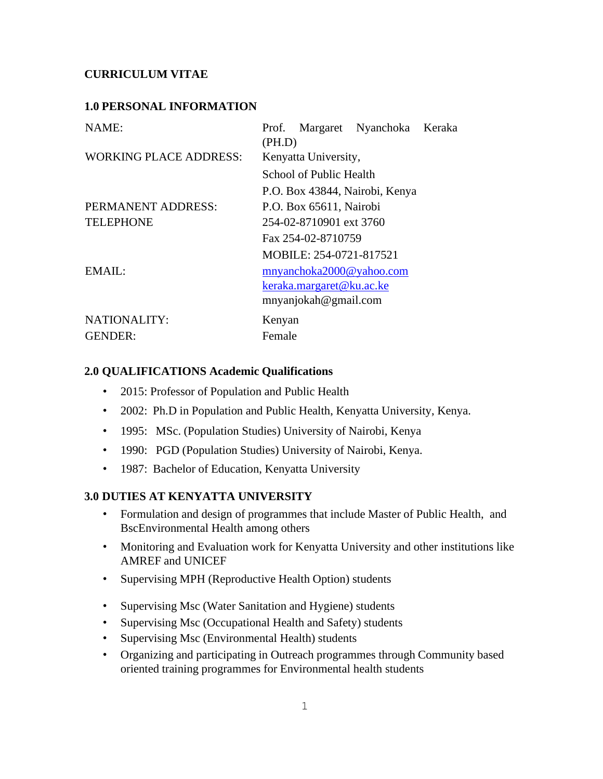## **CURRICULUM VITAE**

### **1.0 PERSONAL INFORMATION**

| NAME:                         | Prof. Margaret Nyanchoka Keraka<br>(PH.D) |
|-------------------------------|-------------------------------------------|
| <b>WORKING PLACE ADDRESS:</b> | Kenyatta University,                      |
|                               | School of Public Health                   |
|                               | P.O. Box 43844, Nairobi, Kenya            |
| PERMANENT ADDRESS:            | P.O. Box 65611, Nairobi                   |
| <b>TELEPHONE</b>              | 254-02-8710901 ext 3760                   |
|                               | Fax 254-02-8710759                        |
|                               | MOBILE: 254-0721-817521                   |
| EMAIL:                        | mnyanchoka2000@yahoo.com                  |
|                               | keraka.margaret@ku.ac.ke                  |
|                               | mnyanjokah@gmail.com                      |
| NATIONALITY:                  | Kenyan                                    |
| <b>GENDER:</b>                | Female                                    |

#### **2.0 QUALIFICATIONS Academic Qualifications**

- 2015: Professor of Population and Public Health
- 2002: Ph.D in Population and Public Health, Kenyatta University, Kenya.
- 1995: MSc. (Population Studies) University of Nairobi, Kenya
- 1990: PGD (Population Studies) University of Nairobi, Kenya.
- 1987: Bachelor of Education, Kenyatta University

#### **3.0 DUTIES AT KENYATTA UNIVERSITY**

- Formulation and design of programmes that include Master of Public Health, and BscEnvironmental Health among others
- Monitoring and Evaluation work for Kenyatta University and other institutions like AMREF and UNICEF
- Supervising MPH (Reproductive Health Option) students
- Supervising Msc (Water Sanitation and Hygiene) students
- Supervising Msc (Occupational Health and Safety) students
- Supervising Msc (Environmental Health) students
- Organizing and participating in Outreach programmes through Community based oriented training programmes for Environmental health students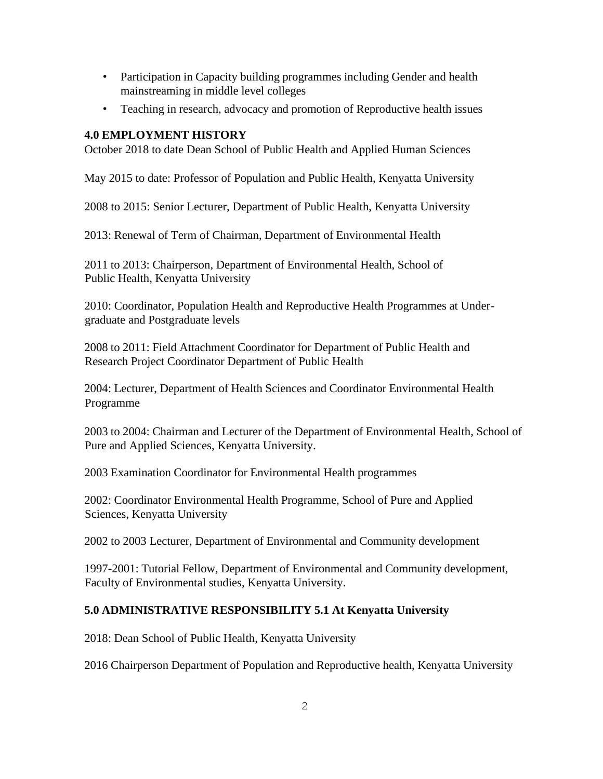- Participation in Capacity building programmes including Gender and health mainstreaming in middle level colleges
- Teaching in research, advocacy and promotion of Reproductive health issues

# **4.0 EMPLOYMENT HISTORY**

October 2018 to date Dean School of Public Health and Applied Human Sciences

May 2015 to date: Professor of Population and Public Health, Kenyatta University

2008 to 2015: Senior Lecturer, Department of Public Health, Kenyatta University

2013: Renewal of Term of Chairman, Department of Environmental Health

2011 to 2013: Chairperson, Department of Environmental Health, School of Public Health, Kenyatta University

2010: Coordinator, Population Health and Reproductive Health Programmes at Undergraduate and Postgraduate levels

2008 to 2011: Field Attachment Coordinator for Department of Public Health and Research Project Coordinator Department of Public Health

2004: Lecturer, Department of Health Sciences and Coordinator Environmental Health Programme

2003 to 2004: Chairman and Lecturer of the Department of Environmental Health, School of Pure and Applied Sciences, Kenyatta University.

2003 Examination Coordinator for Environmental Health programmes

2002: Coordinator Environmental Health Programme, School of Pure and Applied Sciences, Kenyatta University

2002 to 2003 Lecturer, Department of Environmental and Community development

1997-2001: Tutorial Fellow, Department of Environmental and Community development, Faculty of Environmental studies, Kenyatta University.

# **5.0 ADMINISTRATIVE RESPONSIBILITY 5.1 At Kenyatta University**

2018: Dean School of Public Health, Kenyatta University

2016 Chairperson Department of Population and Reproductive health, Kenyatta University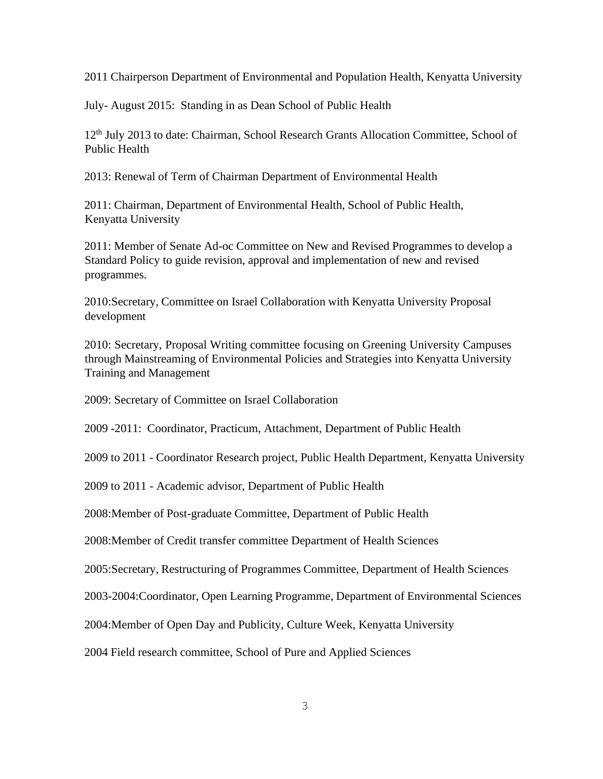2011 Chairperson Department of Environmental and Population Health, Kenyatta University

July- August 2015: Standing in as Dean School of Public Health

12<sup>th</sup> July 2013 to date: Chairman, School Research Grants Allocation Committee, School of Public Health

2013: Renewal of Term of Chairman Department of Environmental Health

2011: Chairman, Department of Environmental Health, School of Public Health, Kenyatta University

2011: Member of Senate Ad-oc Committee on New and Revised Programmes to develop a Standard Policy to guide revision, approval and implementation of new and revised programmes.

2010:Secretary, Committee on Israel Collaboration with Kenyatta University Proposal development

2010: Secretary, Proposal Writing committee focusing on Greening University Campuses through Mainstreaming of Environmental Policies and Strategies into Kenyatta University Training and Management

2009: Secretary of Committee on Israel Collaboration

2009 -2011: Coordinator, Practicum, Attachment, Department of Public Health

2009 to 2011 - Coordinator Research project, Public Health Department, Kenyatta University

2009 to 2011 - Academic advisor, Department of Public Health

2008:Member of Post-graduate Committee, Department of Public Health

2008:Member of Credit transfer committee Department of Health Sciences

2005:Secretary, Restructuring of Programmes Committee, Department of Health Sciences

2003-2004:Coordinator, Open Learning Programme, Department of Environmental Sciences

2004:Member of Open Day and Publicity, Culture Week, Kenyatta University

2004 Field research committee, School of Pure and Applied Sciences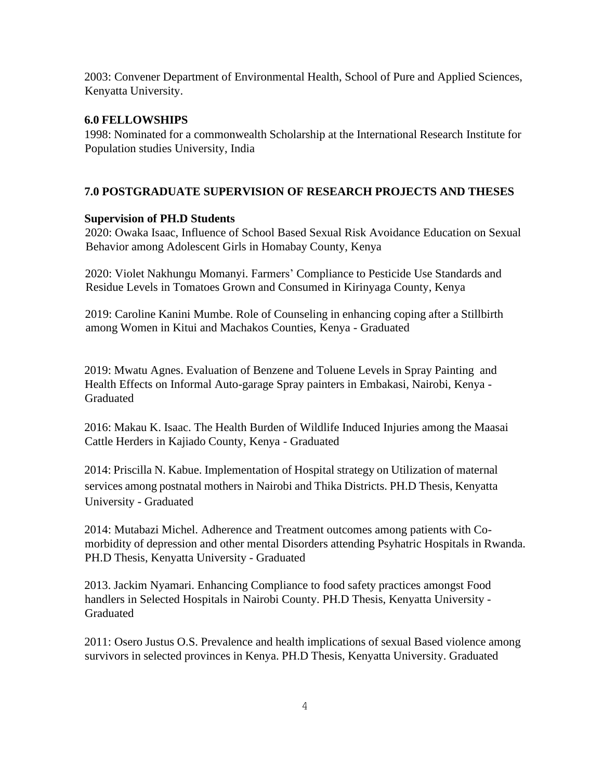2003: Convener Department of Environmental Health, School of Pure and Applied Sciences, Kenyatta University.

### **6.0 FELLOWSHIPS**

1998: Nominated for a commonwealth Scholarship at the International Research Institute for Population studies University, India

## **7.0 POSTGRADUATE SUPERVISION OF RESEARCH PROJECTS AND THESES**

### **Supervision of PH.D Students**

2020: Owaka Isaac, Influence of School Based Sexual Risk Avoidance Education on Sexual Behavior among Adolescent Girls in Homabay County, Kenya

2020: Violet Nakhungu Momanyi. Farmers' Compliance to Pesticide Use Standards and Residue Levels in Tomatoes Grown and Consumed in Kirinyaga County, Kenya

2019: Caroline Kanini Mumbe. Role of Counseling in enhancing coping after a Stillbirth among Women in Kitui and Machakos Counties, Kenya - Graduated

2019: Mwatu Agnes. Evaluation of Benzene and Toluene Levels in Spray Painting and Health Effects on Informal Auto-garage Spray painters in Embakasi, Nairobi, Kenya - Graduated

2016: Makau K. Isaac. The Health Burden of Wildlife Induced Injuries among the Maasai Cattle Herders in Kajiado County, Kenya - Graduated

2014: Priscilla N. Kabue. Implementation of Hospital strategy on Utilization of maternal services among postnatal mothers in Nairobi and Thika Districts. PH.D Thesis, Kenyatta University - Graduated

2014: Mutabazi Michel. Adherence and Treatment outcomes among patients with Comorbidity of depression and other mental Disorders attending Psyhatric Hospitals in Rwanda. PH.D Thesis, Kenyatta University - Graduated

2013. Jackim Nyamari. Enhancing Compliance to food safety practices amongst Food handlers in Selected Hospitals in Nairobi County. PH.D Thesis, Kenyatta University - Graduated

2011: Osero Justus O.S. Prevalence and health implications of sexual Based violence among survivors in selected provinces in Kenya. PH.D Thesis, Kenyatta University. Graduated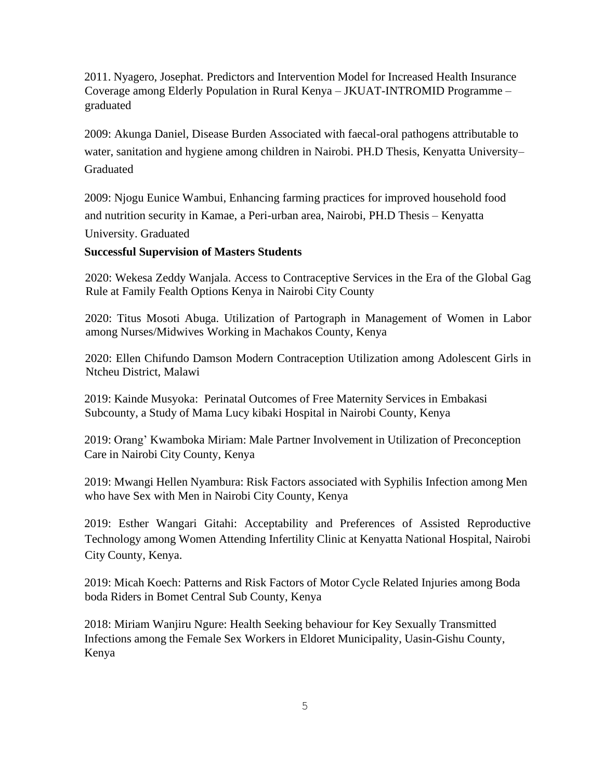2011. Nyagero, Josephat. Predictors and Intervention Model for Increased Health Insurance Coverage among Elderly Population in Rural Kenya – JKUAT-INTROMID Programme – graduated

2009: Akunga Daniel, Disease Burden Associated with faecal-oral pathogens attributable to water, sanitation and hygiene among children in Nairobi. PH.D Thesis, Kenyatta University– Graduated

2009: Njogu Eunice Wambui, Enhancing farming practices for improved household food and nutrition security in Kamae, a Peri-urban area, Nairobi, PH.D Thesis – Kenyatta University. Graduated

#### **Successful Supervision of Masters Students**

2020: Wekesa Zeddy Wanjala. Access to Contraceptive Services in the Era of the Global Gag Rule at Family Fealth Options Kenya in Nairobi City County

2020: Titus Mosoti Abuga. Utilization of Partograph in Management of Women in Labor among Nurses/Midwives Working in Machakos County, Kenya

2020: Ellen Chifundo Damson Modern Contraception Utilization among Adolescent Girls in Ntcheu District, Malawi

2019: Kainde Musyoka: Perinatal Outcomes of Free Maternity Services in Embakasi Subcounty, a Study of Mama Lucy kibaki Hospital in Nairobi County, Kenya

2019: Orang' Kwamboka Miriam: Male Partner Involvement in Utilization of Preconception Care in Nairobi City County, Kenya

2019: Mwangi Hellen Nyambura: Risk Factors associated with Syphilis Infection among Men who have Sex with Men in Nairobi City County, Kenya

2019: Esther Wangari Gitahi: Acceptability and Preferences of Assisted Reproductive Technology among Women Attending Infertility Clinic at Kenyatta National Hospital, Nairobi City County, Kenya.

2019: Micah Koech: Patterns and Risk Factors of Motor Cycle Related Injuries among Boda boda Riders in Bomet Central Sub County, Kenya

2018: Miriam Wanjiru Ngure: Health Seeking behaviour for Key Sexually Transmitted Infections among the Female Sex Workers in Eldoret Municipality, Uasin-Gishu County, Kenya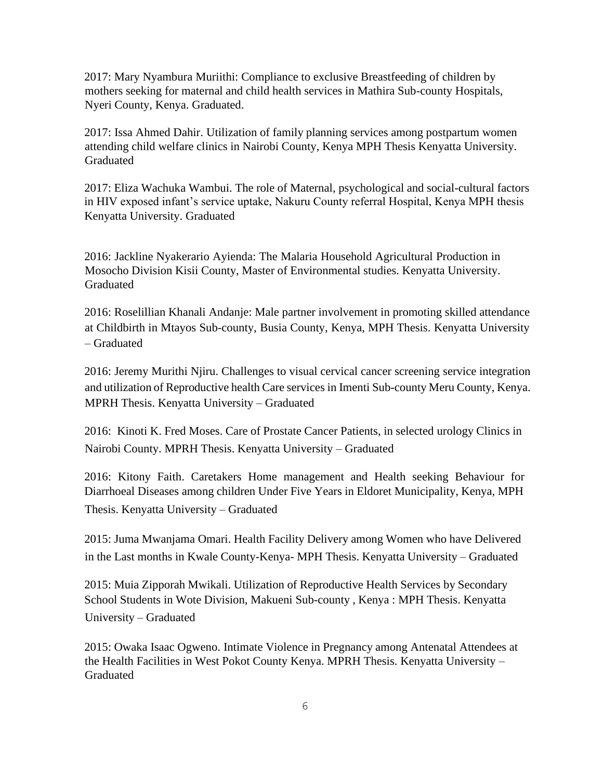2017: Mary Nyambura Muriithi: Compliance to exclusive Breastfeeding of children by mothers seeking for maternal and child health services in Mathira Sub-county Hospitals, Nyeri County, Kenya. Graduated.

2017: Issa Ahmed Dahir. Utilization of family planning services among postpartum women attending child welfare clinics in Nairobi County, Kenya MPH Thesis Kenyatta University. Graduated

2017: Eliza Wachuka Wambui. The role of Maternal, psychological and social-cultural factors in HIV exposed infant's service uptake, Nakuru County referral Hospital, Kenya MPH thesis Kenyatta University. Graduated

2016: Jackline Nyakerario Ayienda: The Malaria Household Agricultural Production in Mosocho Division Kisii County, Master of Environmental studies. Kenyatta University. Graduated

2016: Roselillian Khanali Andanje: Male partner involvement in promoting skilled attendance at Childbirth in Mtayos Sub-county, Busia County, Kenya, MPH Thesis. Kenyatta University – Graduated

2016: Jeremy Murithi Njiru. Challenges to visual cervical cancer screening service integration and utilization of Reproductive health Care services in Imenti Sub-county Meru County, Kenya. MPRH Thesis. Kenyatta University – Graduated

2016: Kinoti K. Fred Moses. Care of Prostate Cancer Patients, in selected urology Clinics in Nairobi County. MPRH Thesis. Kenyatta University – Graduated

2016: Kitony Faith. Caretakers Home management and Health seeking Behaviour for Diarrhoeal Diseases among children Under Five Years in Eldoret Municipality, Kenya, MPH Thesis. Kenyatta University – Graduated

2015: Juma Mwanjama Omari. Health Facility Delivery among Women who have Delivered in the Last months in Kwale County-Kenya- MPH Thesis. Kenyatta University – Graduated

2015: Muia Zipporah Mwikali. Utilization of Reproductive Health Services by Secondary School Students in Wote Division, Makueni Sub-county , Kenya : MPH Thesis. Kenyatta University – Graduated

2015: Owaka Isaac Ogweno. Intimate Violence in Pregnancy among Antenatal Attendees at the Health Facilities in West Pokot County Kenya. MPRH Thesis. Kenyatta University – Graduated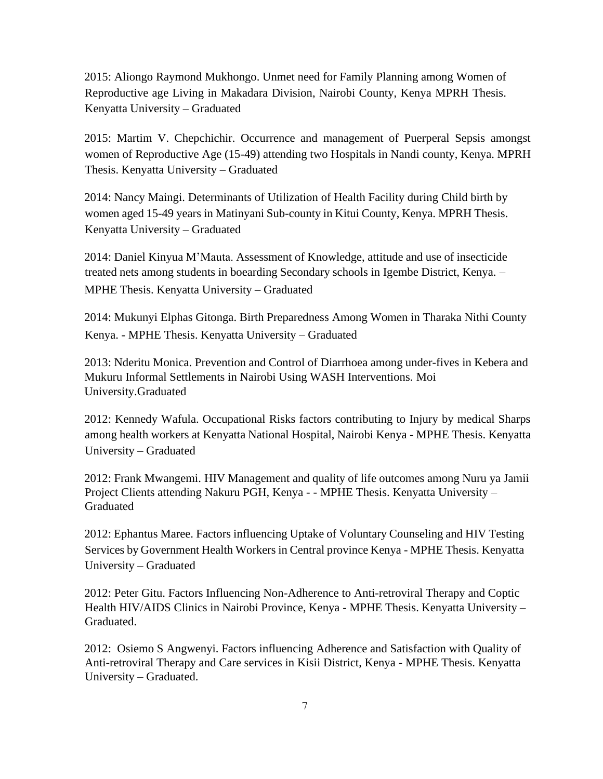2015: Aliongo Raymond Mukhongo. Unmet need for Family Planning among Women of Reproductive age Living in Makadara Division, Nairobi County, Kenya MPRH Thesis. Kenyatta University – Graduated

2015: Martim V. Chepchichir. Occurrence and management of Puerperal Sepsis amongst women of Reproductive Age (15-49) attending two Hospitals in Nandi county, Kenya. MPRH Thesis. Kenyatta University – Graduated

2014: Nancy Maingi. Determinants of Utilization of Health Facility during Child birth by women aged 15-49 years in Matinyani Sub-county in Kitui County, Kenya. MPRH Thesis. Kenyatta University – Graduated

2014: Daniel Kinyua M'Mauta. Assessment of Knowledge, attitude and use of insecticide treated nets among students in boearding Secondary schools in Igembe District, Kenya. – MPHE Thesis. Kenyatta University – Graduated

2014: Mukunyi Elphas Gitonga. Birth Preparedness Among Women in Tharaka Nithi County Kenya. - MPHE Thesis. Kenyatta University – Graduated

2013: Nderitu Monica. Prevention and Control of Diarrhoea among under-fives in Kebera and Mukuru Informal Settlements in Nairobi Using WASH Interventions. Moi University.Graduated

2012: Kennedy Wafula. Occupational Risks factors contributing to Injury by medical Sharps among health workers at Kenyatta National Hospital, Nairobi Kenya - MPHE Thesis. Kenyatta University – Graduated

2012: Frank Mwangemi. HIV Management and quality of life outcomes among Nuru ya Jamii Project Clients attending Nakuru PGH, Kenya - - MPHE Thesis. Kenyatta University – Graduated

2012: Ephantus Maree. Factors influencing Uptake of Voluntary Counseling and HIV Testing Services by Government Health Workers in Central province Kenya - MPHE Thesis. Kenyatta University – Graduated

2012: Peter Gitu. Factors Influencing Non-Adherence to Anti-retroviral Therapy and Coptic Health HIV/AIDS Clinics in Nairobi Province, Kenya - MPHE Thesis. Kenyatta University – Graduated.

2012: Osiemo S Angwenyi. Factors influencing Adherence and Satisfaction with Quality of Anti-retroviral Therapy and Care services in Kisii District, Kenya - MPHE Thesis. Kenyatta University – Graduated.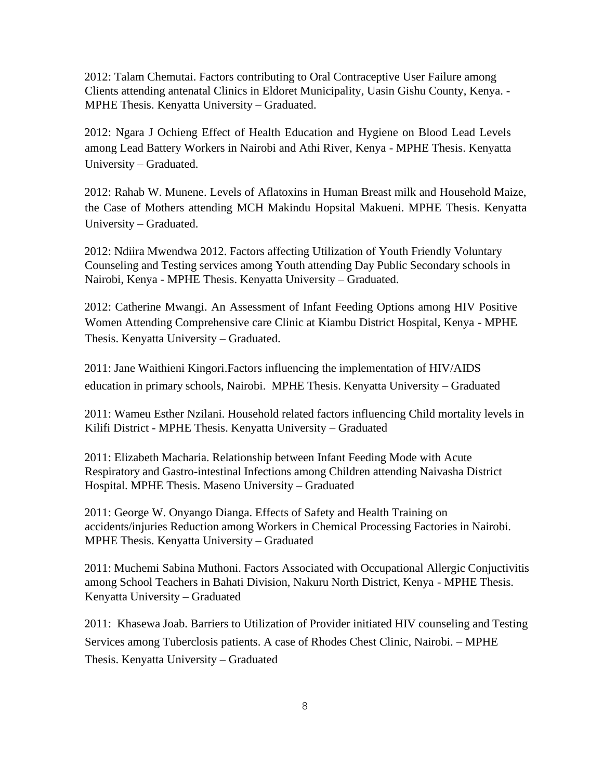2012: Talam Chemutai. Factors contributing to Oral Contraceptive User Failure among Clients attending antenatal Clinics in Eldoret Municipality, Uasin Gishu County, Kenya. - MPHE Thesis. Kenyatta University – Graduated.

2012: Ngara J Ochieng Effect of Health Education and Hygiene on Blood Lead Levels among Lead Battery Workers in Nairobi and Athi River, Kenya - MPHE Thesis. Kenyatta University – Graduated.

2012: Rahab W. Munene. Levels of Aflatoxins in Human Breast milk and Household Maize, the Case of Mothers attending MCH Makindu Hopsital Makueni. MPHE Thesis. Kenyatta University – Graduated.

2012: Ndiira Mwendwa 2012. Factors affecting Utilization of Youth Friendly Voluntary Counseling and Testing services among Youth attending Day Public Secondary schools in Nairobi, Kenya - MPHE Thesis. Kenyatta University – Graduated.

2012: Catherine Mwangi. An Assessment of Infant Feeding Options among HIV Positive Women Attending Comprehensive care Clinic at Kiambu District Hospital, Kenya - MPHE Thesis. Kenyatta University – Graduated.

2011: Jane Waithieni Kingori.Factors influencing the implementation of HIV/AIDS education in primary schools, Nairobi. MPHE Thesis. Kenyatta University – Graduated

2011: Wameu Esther Nzilani. Household related factors influencing Child mortality levels in Kilifi District - MPHE Thesis. Kenyatta University – Graduated

2011: Elizabeth Macharia. Relationship between Infant Feeding Mode with Acute Respiratory and Gastro-intestinal Infections among Children attending Naivasha District Hospital. MPHE Thesis. Maseno University – Graduated

2011: George W. Onyango Dianga. Effects of Safety and Health Training on accidents/injuries Reduction among Workers in Chemical Processing Factories in Nairobi. MPHE Thesis. Kenyatta University – Graduated

2011: Muchemi Sabina Muthoni. Factors Associated with Occupational Allergic Conjuctivitis among School Teachers in Bahati Division, Nakuru North District, Kenya - MPHE Thesis. Kenyatta University – Graduated

2011: Khasewa Joab. Barriers to Utilization of Provider initiated HIV counseling and Testing Services among Tuberclosis patients. A case of Rhodes Chest Clinic, Nairobi. – MPHE Thesis. Kenyatta University – Graduated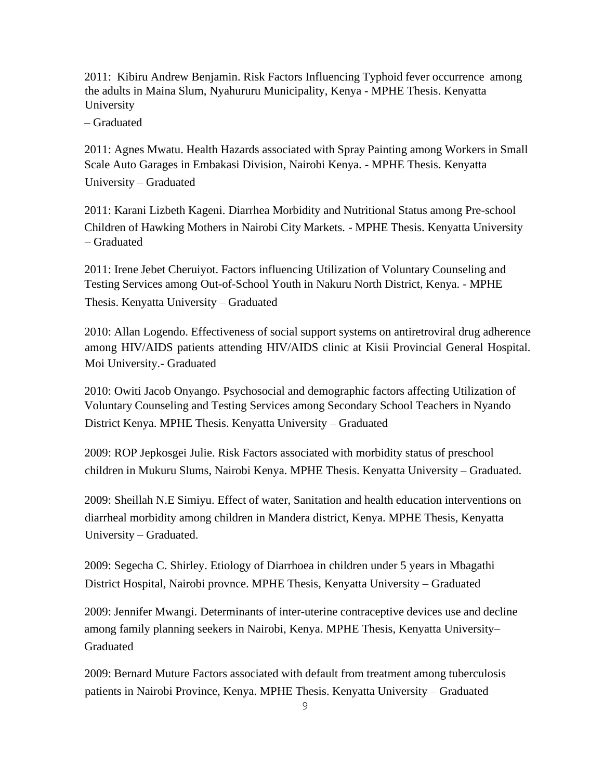2011: Kibiru Andrew Benjamin. Risk Factors Influencing Typhoid fever occurrence among the adults in Maina Slum, Nyahururu Municipality, Kenya - MPHE Thesis. Kenyatta University

– Graduated

2011: Agnes Mwatu. Health Hazards associated with Spray Painting among Workers in Small Scale Auto Garages in Embakasi Division, Nairobi Kenya. - MPHE Thesis. Kenyatta

University – Graduated

2011: Karani Lizbeth Kageni. Diarrhea Morbidity and Nutritional Status among Pre-school Children of Hawking Mothers in Nairobi City Markets. - MPHE Thesis. Kenyatta University – Graduated

2011: Irene Jebet Cheruiyot. Factors influencing Utilization of Voluntary Counseling and Testing Services among Out-of-School Youth in Nakuru North District, Kenya. - MPHE Thesis. Kenyatta University – Graduated

2010: Allan Logendo. Effectiveness of social support systems on antiretroviral drug adherence among HIV/AIDS patients attending HIV/AIDS clinic at Kisii Provincial General Hospital. Moi University.- Graduated

2010: Owiti Jacob Onyango. Psychosocial and demographic factors affecting Utilization of Voluntary Counseling and Testing Services among Secondary School Teachers in Nyando District Kenya. MPHE Thesis. Kenyatta University – Graduated

2009: ROP Jepkosgei Julie. Risk Factors associated with morbidity status of preschool children in Mukuru Slums, Nairobi Kenya. MPHE Thesis. Kenyatta University – Graduated.

2009: Sheillah N.E Simiyu. Effect of water, Sanitation and health education interventions on diarrheal morbidity among children in Mandera district, Kenya. MPHE Thesis, Kenyatta University – Graduated.

2009: Segecha C. Shirley. Etiology of Diarrhoea in children under 5 years in Mbagathi District Hospital, Nairobi provnce. MPHE Thesis, Kenyatta University – Graduated

2009: Jennifer Mwangi. Determinants of inter-uterine contraceptive devices use and decline among family planning seekers in Nairobi, Kenya. MPHE Thesis, Kenyatta University– Graduated

2009: Bernard Muture Factors associated with default from treatment among tuberculosis patients in Nairobi Province, Kenya. MPHE Thesis. Kenyatta University – Graduated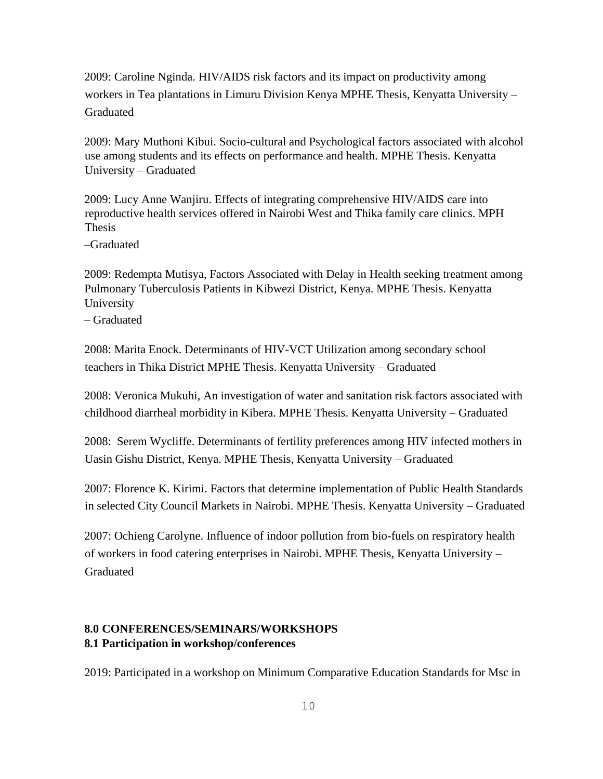2009: Caroline Nginda. HIV/AIDS risk factors and its impact on productivity among workers in Tea plantations in Limuru Division Kenya MPHE Thesis, Kenyatta University – Graduated

2009: Mary Muthoni Kibui. Socio-cultural and Psychological factors associated with alcohol use among students and its effects on performance and health. MPHE Thesis. Kenyatta University – Graduated

2009: Lucy Anne Wanjiru. Effects of integrating comprehensive HIV/AIDS care into reproductive health services offered in Nairobi West and Thika family care clinics. MPH Thesis

–Graduated

2009: Redempta Mutisya, Factors Associated with Delay in Health seeking treatment among Pulmonary Tuberculosis Patients in Kibwezi District, Kenya. MPHE Thesis. Kenyatta University

– Graduated

2008: Marita Enock. Determinants of HIV-VCT Utilization among secondary school teachers in Thika District MPHE Thesis. Kenyatta University – Graduated

2008: Veronica Mukuhi, An investigation of water and sanitation risk factors associated with childhood diarrheal morbidity in Kibera. MPHE Thesis. Kenyatta University – Graduated

2008: Serem Wycliffe. Determinants of fertility preferences among HIV infected mothers in Uasin Gishu District, Kenya. MPHE Thesis, Kenyatta University – Graduated

2007: Florence K. Kirimi. Factors that determine implementation of Public Health Standards in selected City Council Markets in Nairobi. MPHE Thesis. Kenyatta University – Graduated

2007: Ochieng Carolyne. Influence of indoor pollution from bio-fuels on respiratory health of workers in food catering enterprises in Nairobi. MPHE Thesis, Kenyatta University – Graduated

## **8.0 CONFERENCES/SEMINARS/WORKSHOPS 8.1 Participation in workshop/conferences**

2019: Participated in a workshop on Minimum Comparative Education Standards for Msc in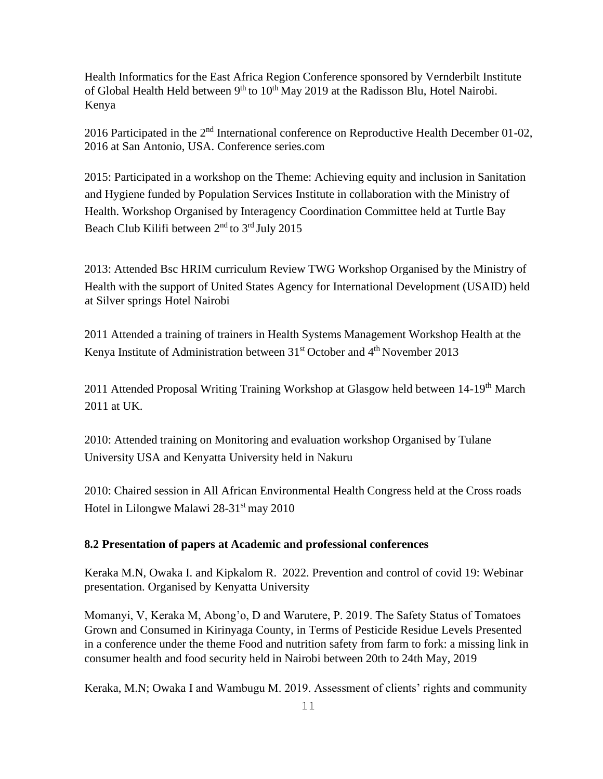Health Informatics for the East Africa Region Conference sponsored by Vernderbilt Institute of Global Health Held between 9<sup>th</sup> to 10<sup>th</sup> May 2019 at the Radisson Blu, Hotel Nairobi. Kenya

2016 Participated in the 2<sup>nd</sup> International conference on Reproductive Health December 01-02, 2016 at San Antonio, USA. Conference series.com

2015: Participated in a workshop on the Theme: Achieving equity and inclusion in Sanitation and Hygiene funded by Population Services Institute in collaboration with the Ministry of Health. Workshop Organised by Interagency Coordination Committee held at Turtle Bay Beach Club Kilifi between 2<sup>nd</sup> to 3<sup>rd</sup> July 2015

2013: Attended Bsc HRIM curriculum Review TWG Workshop Organised by the Ministry of Health with the support of United States Agency for International Development (USAID) held at Silver springs Hotel Nairobi

2011 Attended a training of trainers in Health Systems Management Workshop Health at the Kenya Institute of Administration between 31<sup>st</sup> October and 4<sup>th</sup> November 2013

2011 Attended Proposal Writing Training Workshop at Glasgow held between 14-19<sup>th</sup> March 2011 at UK.

2010: Attended training on Monitoring and evaluation workshop Organised by Tulane University USA and Kenyatta University held in Nakuru

2010: Chaired session in All African Environmental Health Congress held at the Cross roads Hotel in Lilongwe Malawi 28-31<sup>st</sup> may 2010

## **8.2 Presentation of papers at Academic and professional conferences**

Keraka M.N, Owaka I. and Kipkalom R. 2022. Prevention and control of covid 19: Webinar presentation. Organised by Kenyatta University

Momanyi, V, Keraka M, Abong'o, D and Warutere, P. 2019. The Safety Status of Tomatoes Grown and Consumed in Kirinyaga County, in Terms of Pesticide Residue Levels Presented in a conference under the theme Food and nutrition safety from farm to fork: a missing link in consumer health and food security held in Nairobi between 20th to 24th May, 2019

Keraka, M.N; Owaka I and Wambugu M. 2019. Assessment of clients' rights and community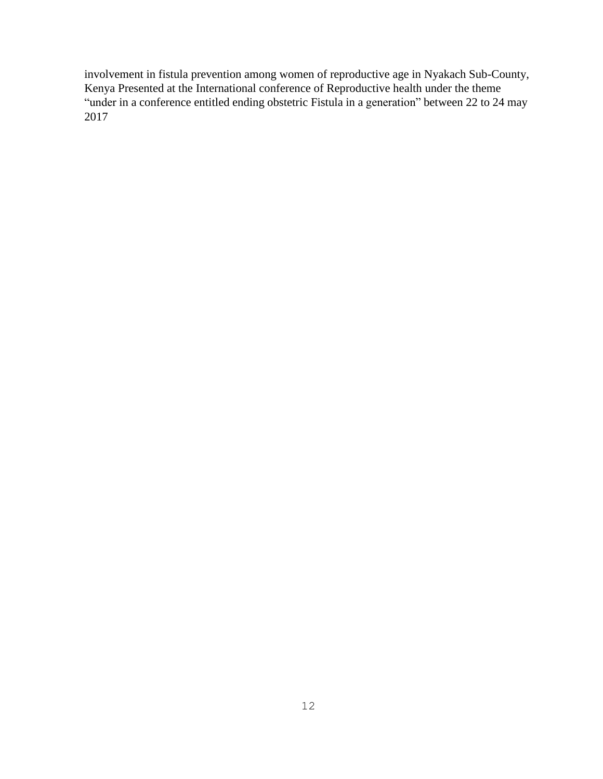involvement in fistula prevention among women of reproductive age in Nyakach Sub-County, Kenya Presented at the International conference of Reproductive health under the theme "under in a conference entitled ending obstetric Fistula in a generation" between 22 to 24 may 2017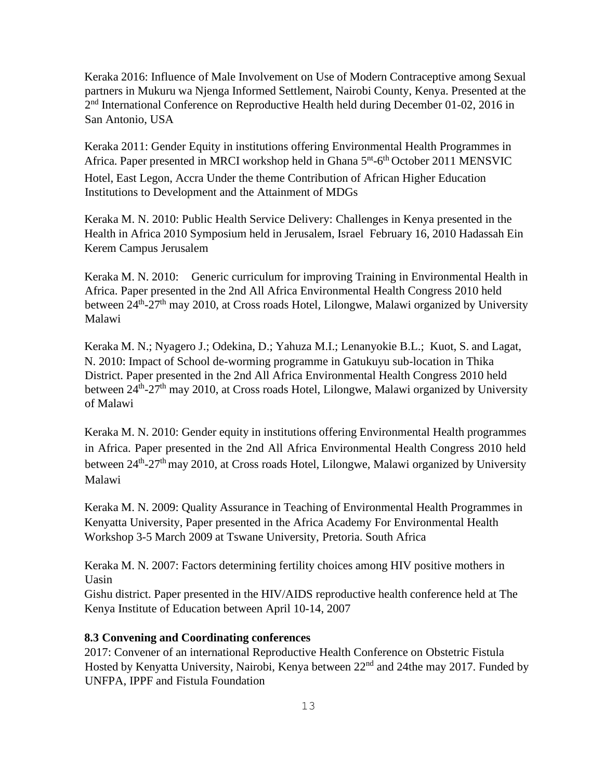Keraka 2016: Influence of Male Involvement on Use of Modern Contraceptive among Sexual partners in Mukuru wa Njenga Informed Settlement, Nairobi County, Kenya. Presented at the 2<sup>nd</sup> International Conference on Reproductive Health held during December 01-02, 2016 in San Antonio, USA

Keraka 2011: Gender Equity in institutions offering Environmental Health Programmes in Africa. Paper presented in MRCI workshop held in Ghana 5<sup>nt</sup>-6<sup>th</sup> October 2011 MENSVIC Hotel, East Legon, Accra Under the theme Contribution of African Higher Education Institutions to Development and the Attainment of MDGs

Keraka M. N. 2010: Public Health Service Delivery: Challenges in Kenya presented in the Health in Africa 2010 Symposium held in Jerusalem, Israel February 16, 2010 Hadassah Ein Kerem Campus Jerusalem

Keraka M. N. 2010: Generic curriculum for improving Training in Environmental Health in Africa. Paper presented in the 2nd All Africa Environmental Health Congress 2010 held between 24<sup>th</sup>-27<sup>th</sup> may 2010, at Cross roads Hotel, Lilongwe, Malawi organized by University Malawi

Keraka M. N.; Nyagero J.; Odekina, D.; Yahuza M.I.; Lenanyokie B.L.; Kuot, S. and Lagat, N. 2010: Impact of School de-worming programme in Gatukuyu sub-location in Thika District. Paper presented in the 2nd All Africa Environmental Health Congress 2010 held between 24<sup>th</sup>-27<sup>th</sup> may 2010, at Cross roads Hotel, Lilongwe, Malawi organized by University of Malawi

Keraka M. N. 2010: Gender equity in institutions offering Environmental Health programmes in Africa. Paper presented in the 2nd All Africa Environmental Health Congress 2010 held between 24<sup>th</sup>-27<sup>th</sup> may 2010, at Cross roads Hotel, Lilongwe, Malawi organized by University Malawi

Keraka M. N. 2009: Quality Assurance in Teaching of Environmental Health Programmes in Kenyatta University, Paper presented in the Africa Academy For Environmental Health Workshop 3-5 March 2009 at Tswane University, Pretoria. South Africa

Keraka M. N. 2007: Factors determining fertility choices among HIV positive mothers in Uasin

Gishu district. Paper presented in the HIV/AIDS reproductive health conference held at The Kenya Institute of Education between April 10-14, 2007

### **8.3 Convening and Coordinating conferences**

2017: Convener of an international Reproductive Health Conference on Obstetric Fistula Hosted by Kenyatta University, Nairobi, Kenya between 22<sup>nd</sup> and 24the may 2017. Funded by UNFPA, IPPF and Fistula Foundation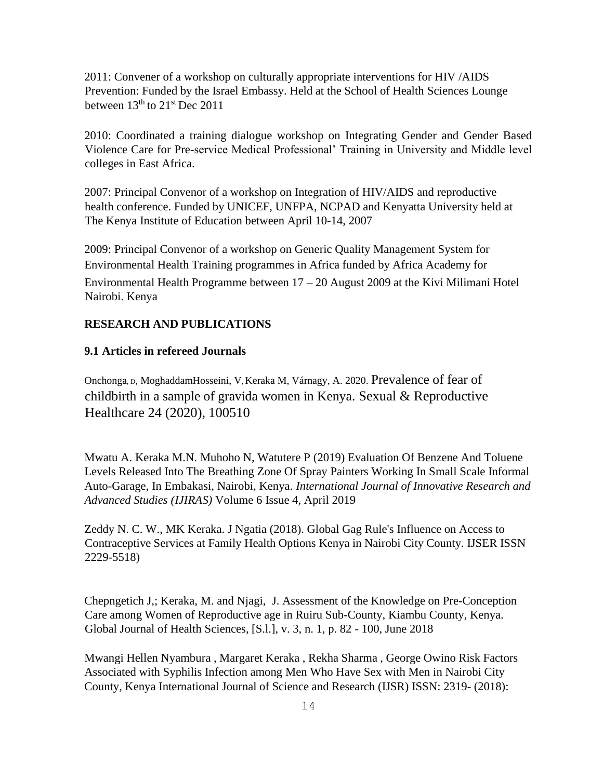2011: Convener of a workshop on culturally appropriate interventions for HIV /AIDS Prevention: Funded by the Israel Embassy. Held at the School of Health Sciences Lounge between  $13<sup>th</sup>$  to  $21<sup>st</sup>$  Dec 2011

2010: Coordinated a training dialogue workshop on Integrating Gender and Gender Based Violence Care for Pre-service Medical Professional' Training in University and Middle level colleges in East Africa.

2007: Principal Convenor of a workshop on Integration of HIV/AIDS and reproductive health conference. Funded by UNICEF, UNFPA, NCPAD and Kenyatta University held at The Kenya Institute of Education between April 10-14, 2007

2009: Principal Convenor of a workshop on Generic Quality Management System for Environmental Health Training programmes in Africa funded by Africa Academy for Environmental Health Programme between 17 – 20 August 2009 at the Kivi Milimani Hotel Nairobi. Kenya

# **RESEARCH AND PUBLICATIONS**

#### **9.1 Articles in refereed Journals**

Onchonga, D, MoghaddamHosseini, V, Keraka M, Várnagy, A. 2020. Prevalence of fear of childbirth in a sample of gravida women in Kenya. Sexual & Reproductive Healthcare 24 (2020), 100510

Mwatu A. Keraka M.N. Muhoho N, Watutere P (2019) Evaluation Of Benzene And Toluene Levels Released Into The Breathing Zone Of Spray Painters Working In Small Scale Informal Auto-Garage, In Embakasi, Nairobi, Kenya. *International Journal of Innovative Research and Advanced Studies (IJIRAS)* Volume 6 Issue 4, April 2019

Zeddy N. C. W., MK Keraka. J Ngatia (2018). Global Gag Rule's Influence on Access to Contraceptive Services at Family Health Options Kenya in Nairobi City County. IJSER ISSN 2229-5518)

Chepngetich J,; Keraka, M. and Njagi, J. Assessment of the Knowledge on Pre-Conception Care among Women of Reproductive age in Ruiru Sub-County, Kiambu County, Kenya. Global Journal of Health Sciences, [S.l.], v. 3, n. 1, p. 82 - 100, June 2018

Mwangi Hellen Nyambura , Margaret Keraka , Rekha Sharma , George Owino Risk Factors Associated with Syphilis Infection among Men Who Have Sex with Men in Nairobi City County, Kenya International Journal of Science and Research (IJSR) ISSN: 2319- (2018):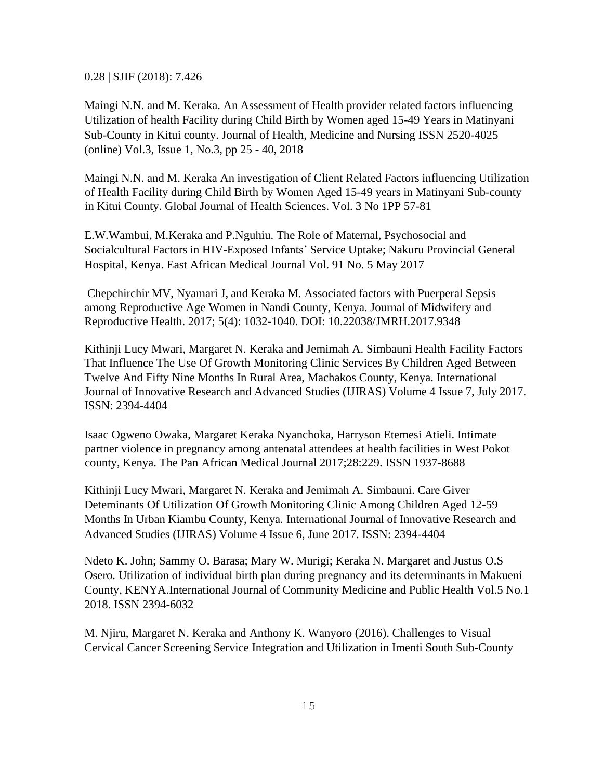0.28 | SJIF (2018): 7.426

Maingi N.N. and M. Keraka. An Assessment of Health provider related factors influencing Utilization of health Facility during Child Birth by Women aged 15-49 Years in Matinyani Sub-County in Kitui county. Journal of Health, Medicine and Nursing ISSN 2520-4025 (online) Vol.3, Issue 1, No.3, pp 25 - 40, 2018

Maingi N.N. and M. Keraka An investigation of Client Related Factors influencing Utilization of Health Facility during Child Birth by Women Aged 15-49 years in Matinyani Sub-county in Kitui County. Global Journal of Health Sciences. Vol. 3 No 1PP 57-81

E.W.Wambui, M.Keraka and P.Nguhiu. The Role of Maternal, Psychosocial and Socialcultural Factors in HIV-Exposed Infants' Service Uptake; Nakuru Provincial General Hospital, Kenya. East African Medical Journal Vol. 91 No. 5 May 2017

Chepchirchir MV, Nyamari J, and Keraka M. Associated factors with Puerperal Sepsis among Reproductive Age Women in Nandi County, Kenya. Journal of Midwifery and Reproductive Health. 2017; 5(4): 1032-1040. DOI: 10.22038/JMRH.2017.9348

Kithinji Lucy Mwari, Margaret N. Keraka and Jemimah A. Simbauni Health Facility Factors That Influence The Use Of Growth Monitoring Clinic Services By Children Aged Between Twelve And Fifty Nine Months In Rural Area, Machakos County, Kenya. International Journal of Innovative Research and Advanced Studies (IJIRAS) Volume 4 Issue 7, July 2017. ISSN: 2394-4404

Isaac Ogweno Owaka, Margaret Keraka Nyanchoka, Harryson Etemesi Atieli. Intimate partner violence in pregnancy among antenatal attendees at health facilities in West Pokot county, Kenya. The Pan African Medical Journal 2017;28:229. ISSN 1937-8688

Kithinji Lucy Mwari, Margaret N. Keraka and Jemimah A. Simbauni. Care Giver Deteminants Of Utilization Of Growth Monitoring Clinic Among Children Aged 12-59 Months In Urban Kiambu County, Kenya. International Journal of Innovative Research and Advanced Studies (IJIRAS) Volume 4 Issue 6, June 2017. ISSN: 2394-4404

Ndeto K. John; Sammy O. Barasa; Mary W. Murigi; Keraka N. Margaret and Justus O.S Osero. Utilization of individual birth plan during pregnancy and its determinants in Makueni County, KENYA.International Journal of Community Medicine and Public Health Vol.5 No.1 2018. ISSN 2394-6032

M. Njiru, Margaret N. Keraka and Anthony K. Wanyoro (2016). Challenges to Visual Cervical Cancer Screening Service Integration and Utilization in Imenti South Sub-County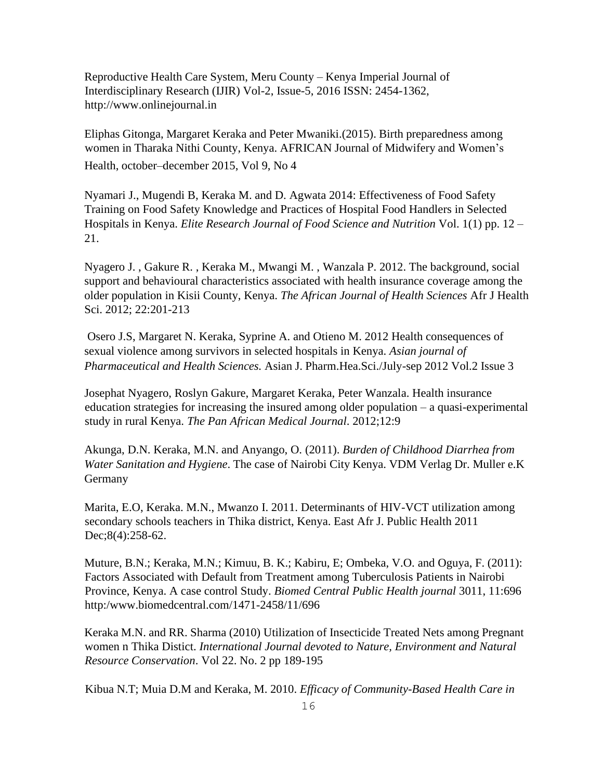Reproductive Health Care System, Meru County – Kenya Imperial Journal of Interdisciplinary Research (IJIR) Vol-2, Issue-5, 2016 ISSN: 2454-1362, [http://www.onlinejournal.in](http://www.onlinejournal.in/)

Eliphas Gitonga, Margaret Keraka and Peter Mwaniki.(2015). Birth preparedness among women in Tharaka Nithi County, Kenya. AFRICAN Journal of Midwifery and Women's Health, october–december 2015, Vol 9, No 4

Nyamari J., Mugendi B, Keraka M. and D. Agwata 2014: Effectiveness of Food Safety Training on Food Safety Knowledge and Practices of Hospital Food Handlers in Selected Hospitals in Kenya. *Elite Research Journal of Food Science and Nutrition* Vol. 1(1) pp. 12 – 21.

Nyagero J. , Gakure R. , Keraka M., Mwangi M. , Wanzala P. 2012. The background, social support and behavioural characteristics associated with health insurance coverage among the older population in Kisii County, Kenya. *The African Journal of Health Sciences* Afr J Health Sci. 2012; 22:201-213

Osero J.S, Margaret N. Keraka, Syprine A. and Otieno M. 2012 Health consequences of sexual violence among survivors in selected hospitals in Kenya. *Asian journal of Pharmaceutical and Health Sciences.* Asian J. Pharm.Hea.Sci./July-sep 2012 Vol.2 Issue 3

Josephat Nyagero, Roslyn Gakure, Margaret Keraka, Peter Wanzala. Health insurance education strategies for increasing the insured among older population – a quasi-experimental study in rural Kenya. *The Pan African Medical Journal*. 2012;12:9

Akunga, D.N. Keraka, M.N. and Anyango, O. (2011). *Burden of Childhood Diarrhea from Water Sanitation and Hygiene*. The case of Nairobi City Kenya. VDM Verlag Dr. Muller e.K Germany

Marita, E.O, Keraka. M.N., Mwanzo I. 2011. Determinants of HIV-VCT utilization among secondary schools teachers in Thika district, Kenya. East Afr J. Public Health 2011 Dec;8(4):258-62.

Muture, B.N.; Keraka, M.N.; Kimuu, B. K.; Kabiru, E; Ombeka, V.O. and Oguya, F. (2011): Factors Associated with Default from Treatment among Tuberculosis Patients in Nairobi Province, Kenya. A case control Study. *Biomed Central Public Health journal* 3011, 11:696 http:[/www.biomedcentral.com/1471-2458/11/696](http://www.biomedcentral.com/1471-2458/11/696)

Keraka M.N. and RR. Sharma (2010) Utilization of Insecticide Treated Nets among Pregnant women n Thika Distict. *International Journal devoted to Nature, Environment and Natural Resource Conservation*. Vol 22. No. 2 pp 189-195

Kibua N.T; Muia D.M and Keraka, M. 2010. *Efficacy of Community-Based Health Care in*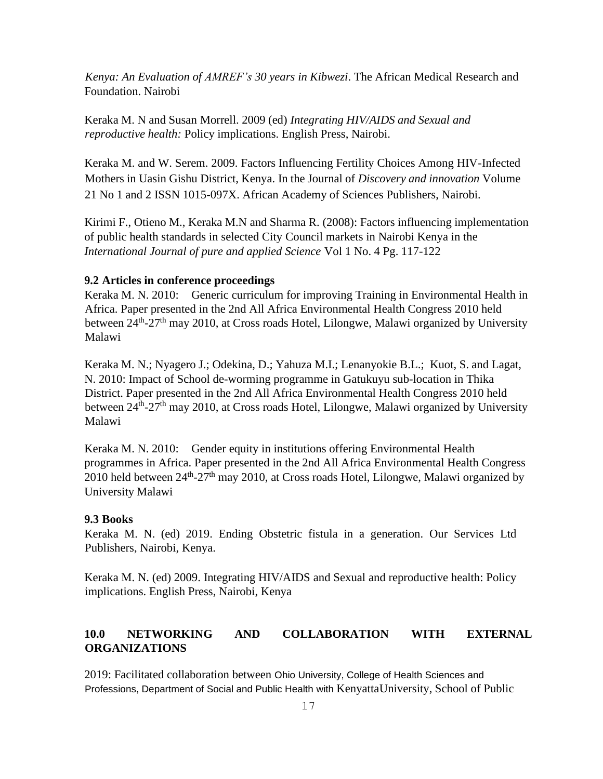*Kenya: An Evaluation of AMREF's 30 years in Kibwezi*. The African Medical Research and Foundation. Nairobi

Keraka M. N and Susan Morrell. 2009 (ed) *Integrating HIV/AIDS and Sexual and reproductive health:* Policy implications. English Press, Nairobi.

Keraka M. and W. Serem. 2009. Factors Influencing Fertility Choices Among HIV-Infected Mothers in Uasin Gishu District, Kenya. In the Journal of *Discovery and innovation* Volume 21 No 1 and 2 ISSN 1015-097X. African Academy of Sciences Publishers, Nairobi.

Kirimi F., Otieno M., Keraka M.N and Sharma R. (2008): Factors influencing implementation of public health standards in selected City Council markets in Nairobi Kenya in the *International Journal of pure and applied Science* Vol 1 No. 4 Pg. 117-122

#### **9.2 Articles in conference proceedings**

Keraka M. N. 2010: Generic curriculum for improving Training in Environmental Health in Africa. Paper presented in the 2nd All Africa Environmental Health Congress 2010 held between 24<sup>th</sup>-27<sup>th</sup> may 2010, at Cross roads Hotel, Lilongwe, Malawi organized by University Malawi

Keraka M. N.; Nyagero J.; Odekina, D.; Yahuza M.I.; Lenanyokie B.L.; Kuot, S. and Lagat, N. 2010: Impact of School de-worming programme in Gatukuyu sub-location in Thika District. Paper presented in the 2nd All Africa Environmental Health Congress 2010 held between 24<sup>th</sup>-27<sup>th</sup> may 2010, at Cross roads Hotel, Lilongwe, Malawi organized by University Malawi

Keraka M. N. 2010: Gender equity in institutions offering Environmental Health programmes in Africa. Paper presented in the 2nd All Africa Environmental Health Congress 2010 held between 24<sup>th</sup>-27<sup>th</sup> may 2010, at Cross roads Hotel, Lilongwe, Malawi organized by University Malawi

### **9.3 Books**

Keraka M. N. (ed) 2019. Ending Obstetric fistula in a generation. Our Services Ltd Publishers, Nairobi, Kenya.

Keraka M. N. (ed) 2009. Integrating HIV/AIDS and Sexual and reproductive health: Policy implications. English Press, Nairobi, Kenya

## **10.0 NETWORKING AND COLLABORATION WITH EXTERNAL ORGANIZATIONS**

2019: Facilitated collaboration between Ohio University, College of Health Sciences and Professions, Department of Social and Public Health with KenyattaUniversity, School of Public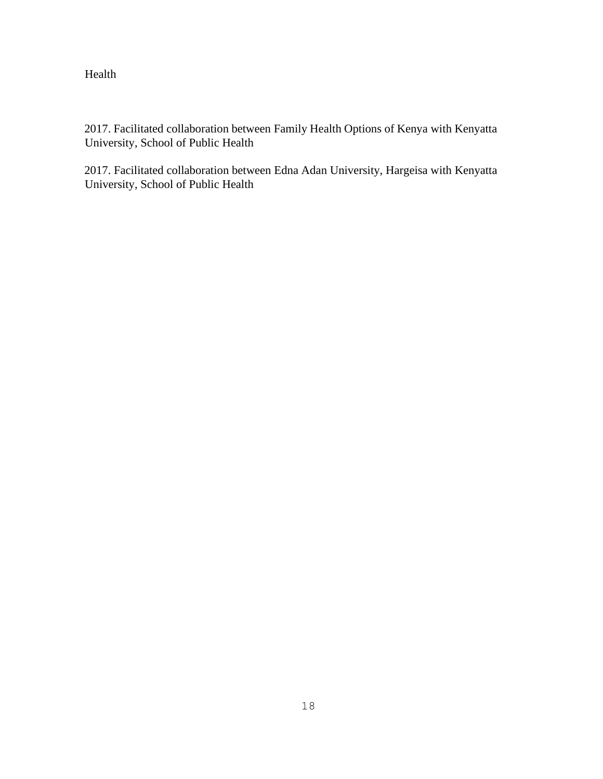Health

2017. Facilitated collaboration between Family Health Options of Kenya with Kenyatta University, School of Public Health

2017. Facilitated collaboration between Edna Adan University, Hargeisa with Kenyatta University, School of Public Health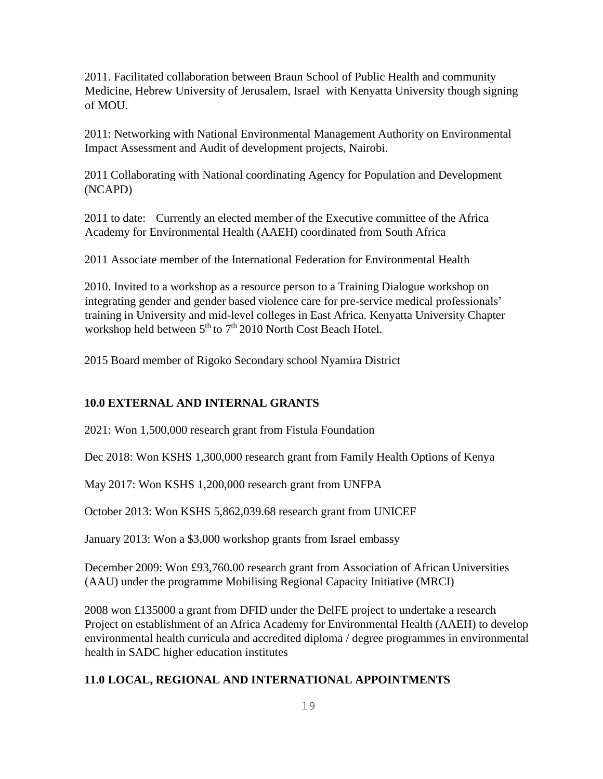2011. Facilitated collaboration between Braun School of Public Health and community Medicine, Hebrew University of Jerusalem, Israel with Kenyatta University though signing of MOU.

2011: Networking with National Environmental Management Authority on Environmental Impact Assessment and Audit of development projects, Nairobi.

2011 Collaborating with National coordinating Agency for Population and Development (NCAPD)

2011 to date: Currently an elected member of the Executive committee of the Africa Academy for Environmental Health (AAEH) coordinated from South Africa

2011 Associate member of the International Federation for Environmental Health

2010. Invited to a workshop as a resource person to a Training Dialogue workshop on integrating gender and gender based violence care for pre-service medical professionals' training in University and mid-level colleges in East Africa. Kenyatta University Chapter workshop held between 5<sup>th</sup> to 7<sup>th</sup> 2010 North Cost Beach Hotel.

2015 Board member of Rigoko Secondary school Nyamira District

## **10.0 EXTERNAL AND INTERNAL GRANTS**

2021: Won 1,500,000 research grant from Fistula Foundation

Dec 2018: Won KSHS 1,300,000 research grant from Family Health Options of Kenya

May 2017: Won KSHS 1,200,000 research grant from UNFPA

October 2013: Won KSHS 5,862,039.68 research grant from UNICEF

January 2013: Won a \$3,000 workshop grants from Israel embassy

December 2009: Won £93,760.00 research grant from Association of African Universities (AAU) under the programme Mobilising Regional Capacity Initiative (MRCI)

2008 won £135000 a grant from DFID under the DelFE project to undertake a research Project on establishment of an Africa Academy for Environmental Health (AAEH) to develop environmental health curricula and accredited diploma / degree programmes in environmental health in SADC higher education institutes

## **11.0 LOCAL, REGIONAL AND INTERNATIONAL APPOINTMENTS**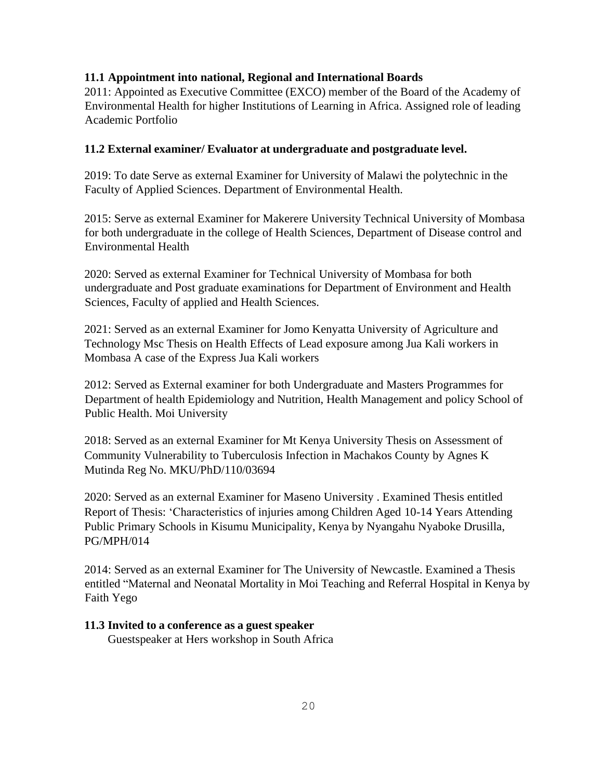## **11.1 Appointment into national, Regional and International Boards**

2011: Appointed as Executive Committee (EXCO) member of the Board of the Academy of Environmental Health for higher Institutions of Learning in Africa. Assigned role of leading Academic Portfolio

## **11.2 External examiner/ Evaluator at undergraduate and postgraduate level.**

2019: To date Serve as external Examiner for University of Malawi the polytechnic in the Faculty of Applied Sciences. Department of Environmental Health.

2015: Serve as external Examiner for Makerere University Technical University of Mombasa for both undergraduate in the college of Health Sciences, Department of Disease control and Environmental Health

2020: Served as external Examiner for Technical University of Mombasa for both undergraduate and Post graduate examinations for Department of Environment and Health Sciences, Faculty of applied and Health Sciences.

2021: Served as an external Examiner for Jomo Kenyatta University of Agriculture and Technology Msc Thesis on Health Effects of Lead exposure among Jua Kali workers in Mombasa A case of the Express Jua Kali workers

2012: Served as External examiner for both Undergraduate and Masters Programmes for Department of health Epidemiology and Nutrition, Health Management and policy School of Public Health. Moi University

2018: Served as an external Examiner for Mt Kenya University Thesis on Assessment of Community Vulnerability to Tuberculosis Infection in Machakos County by Agnes K Mutinda Reg No. MKU/PhD/110/03694

2020: Served as an external Examiner for Maseno University . Examined Thesis entitled Report of Thesis: 'Characteristics of injuries among Children Aged 10-14 Years Attending Public Primary Schools in Kisumu Municipality, Kenya by Nyangahu Nyaboke Drusilla, PG/MPH/014

2014: Served as an external Examiner for The University of Newcastle. Examined a Thesis entitled "Maternal and Neonatal Mortality in Moi Teaching and Referral Hospital in Kenya by Faith Yego

### **11.3 Invited to a conference as a guest speaker**

Guestspeaker at Hers workshop in South Africa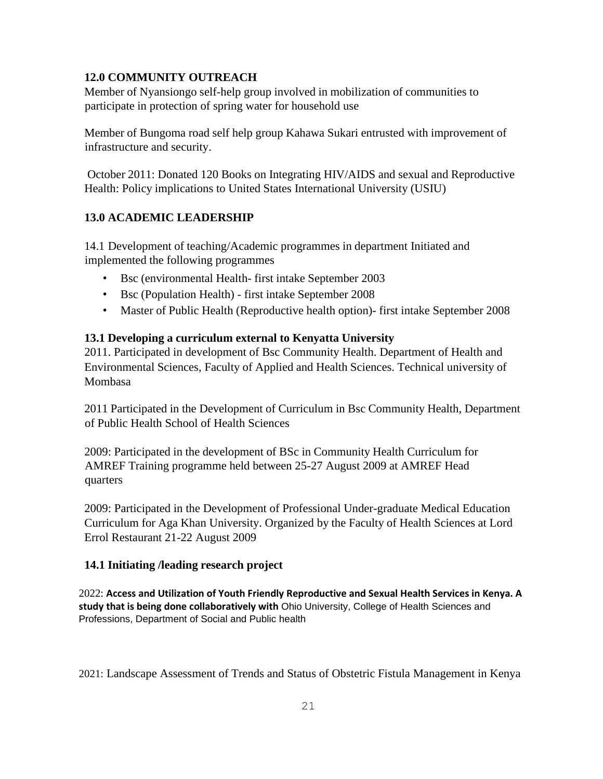## **12.0 COMMUNITY OUTREACH**

Member of Nyansiongo self-help group involved in mobilization of communities to participate in protection of spring water for household use

Member of Bungoma road self help group Kahawa Sukari entrusted with improvement of infrastructure and security.

October 2011: Donated 120 Books on Integrating HIV/AIDS and sexual and Reproductive Health: Policy implications to United States International University (USIU)

# **13.0 ACADEMIC LEADERSHIP**

14.1 Development of teaching/Academic programmes in department Initiated and implemented the following programmes

- Bsc (environmental Health- first intake September 2003
- Bsc (Population Health) first intake September 2008
- Master of Public Health (Reproductive health option)- first intake September 2008

# **13.1 Developing a curriculum external to Kenyatta University**

2011. Participated in development of Bsc Community Health. Department of Health and Environmental Sciences, Faculty of Applied and Health Sciences. Technical university of Mombasa

2011 Participated in the Development of Curriculum in Bsc Community Health, Department of Public Health School of Health Sciences

2009: Participated in the development of BSc in Community Health Curriculum for AMREF Training programme held between 25-27 August 2009 at AMREF Head quarters

2009: Participated in the Development of Professional Under-graduate Medical Education Curriculum for Aga Khan University. Organized by the Faculty of Health Sciences at Lord Errol Restaurant 21-22 August 2009

## **14.1 Initiating /leading research project**

2022: **Access and Utilization of Youth Friendly Reproductive and Sexual Health Services in Kenya. A study that is being done collaboratively with** Ohio University, College of Health Sciences and Professions, Department of Social and Public health

2021: Landscape Assessment of Trends and Status of Obstetric Fistula Management in Kenya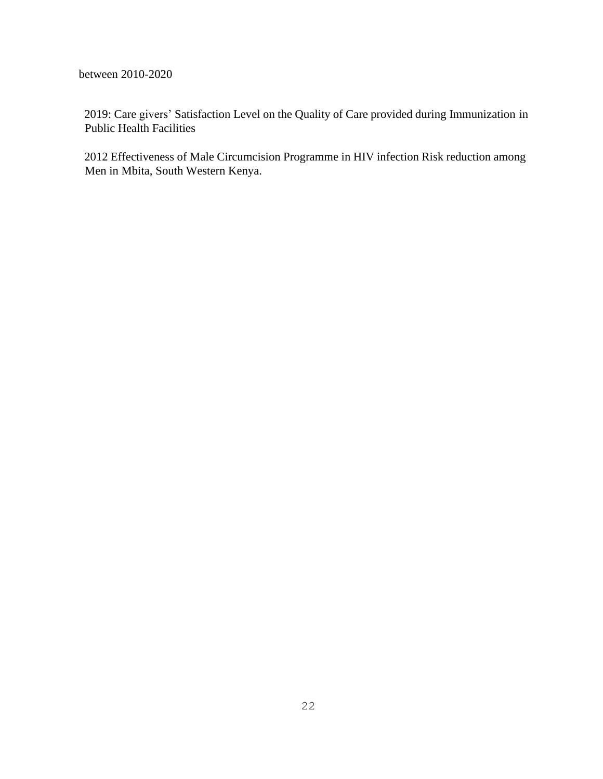between 2010-2020

2019: Care givers' Satisfaction Level on the Quality of Care provided during Immunization in Public Health Facilities

2012 Effectiveness of Male Circumcision Programme in HIV infection Risk reduction among Men in Mbita, South Western Kenya.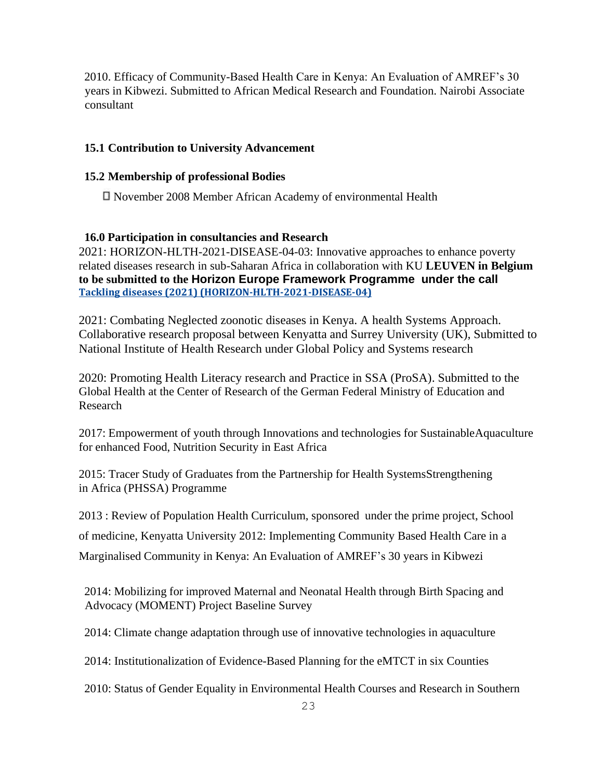2010. Efficacy of Community-Based Health Care in Kenya: An Evaluation of AMREF's 30 years in Kibwezi. Submitted to African Medical Research and Foundation. Nairobi Associate consultant

## **15.1 Contribution to University Advancement**

### **15.2 Membership of professional Bodies**

November 2008 Member African Academy of environmental Health

## **16.0 Participation in consultancies and Research**

2021: HORIZON-HLTH-2021-DISEASE-04-03: Innovative approaches to enhance poverty related diseases research in sub-Saharan Africa in collaboration with KU **LEUVEN in Belgium to be submitted to the Horizon Europe Framework Programme under the call Tackling diseases (2021) [\(HORIZON-HLTH-2021-DISEASE-04\)](javascript:;)**

2021: Combating Neglected zoonotic diseases in Kenya. A health Systems Approach. Collaborative research proposal between Kenyatta and Surrey University (UK), Submitted to National Institute of Health Research under Global Policy and Systems research

2020: Promoting Health Literacy research and Practice in SSA (ProSA). Submitted to the Global Health at the Center of Research of the German Federal Ministry of Education and Research

2017: Empowerment of youth through Innovations and technologies for SustainableAquaculture for enhanced Food, Nutrition Security in East Africa

2015: Tracer Study of Graduates from the Partnership for Health SystemsStrengthening in Africa (PHSSA) Programme

2013 : Review of Population Health Curriculum, sponsored under the prime project, School

of medicine, Kenyatta University 2012: Implementing Community Based Health Care in a

Marginalised Community in Kenya: An Evaluation of AMREF's 30 years in Kibwezi

2014: Mobilizing for improved Maternal and Neonatal Health through Birth Spacing and Advocacy (MOMENT) Project Baseline Survey

2014: Climate change adaptation through use of innovative technologies in aquaculture

2014: Institutionalization of Evidence-Based Planning for the eMTCT in six Counties

2010: Status of Gender Equality in Environmental Health Courses and Research in Southern